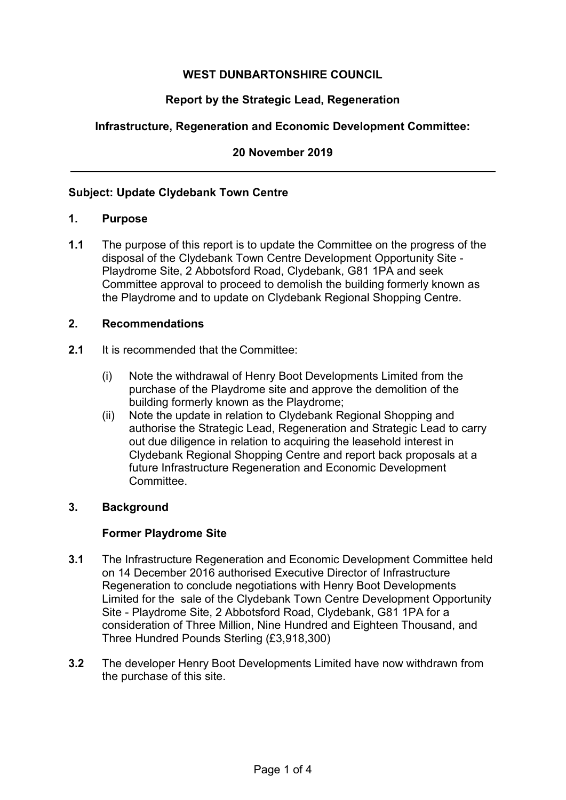# **WEST DUNBARTONSHIRE COUNCIL**

# **Report by the Strategic Lead, Regeneration**

## **Infrastructure, Regeneration and Economic Development Committee:**

**20 November 2019** 

### **Subject: Update Clydebank Town Centre**

#### **1. Purpose**

**1.1** The purpose of this report is to update the Committee on the progress of the disposal of the Clydebank Town Centre Development Opportunity Site - Playdrome Site, 2 Abbotsford Road, Clydebank, G81 1PA and seek Committee approval to proceed to demolish the building formerly known as the Playdrome and to update on Clydebank Regional Shopping Centre.

### **2. Recommendations**

- **2.1** It is recommended that the Committee:
	- (i) Note the withdrawal of Henry Boot Developments Limited from the purchase of the Playdrome site and approve the demolition of the building formerly known as the Playdrome;
	- (ii) Note the update in relation to Clydebank Regional Shopping and authorise the Strategic Lead, Regeneration and Strategic Lead to carry out due diligence in relation to acquiring the leasehold interest in Clydebank Regional Shopping Centre and report back proposals at a future Infrastructure Regeneration and Economic Development Committee.

### **3. Background**

### **Former Playdrome Site**

- **3.1** The Infrastructure Regeneration and Economic Development Committee held on 14 December 2016 authorised Executive Director of Infrastructure Regeneration to conclude negotiations with Henry Boot Developments Limited for the sale of the Clydebank Town Centre Development Opportunity Site - Playdrome Site, 2 Abbotsford Road, Clydebank, G81 1PA for a consideration of Three Million, Nine Hundred and Eighteen Thousand, and Three Hundred Pounds Sterling (£3,918,300)
- **3.2** The developer Henry Boot Developments Limited have now withdrawn from the purchase of this site.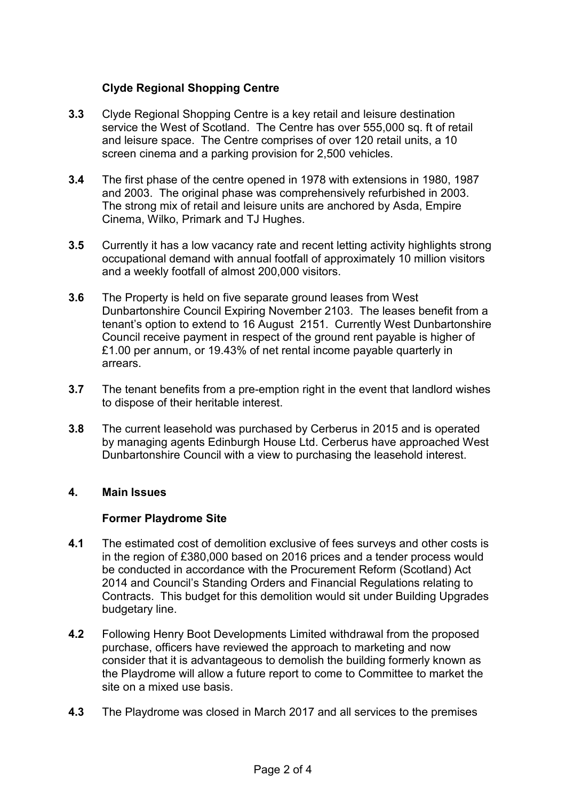## **Clyde Regional Shopping Centre**

- **3.3** Clyde Regional Shopping Centre is a key retail and leisure destination service the West of Scotland. The Centre has over 555,000 sq. ft of retail and leisure space. The Centre comprises of over 120 retail units, a 10 screen cinema and a parking provision for 2,500 vehicles.
- **3.4** The first phase of the centre opened in 1978 with extensions in 1980, 1987 and 2003. The original phase was comprehensively refurbished in 2003. The strong mix of retail and leisure units are anchored by Asda, Empire Cinema, Wilko, Primark and TJ Hughes.
- **3.5** Currently it has a low vacancy rate and recent letting activity highlights strong occupational demand with annual footfall of approximately 10 million visitors and a weekly footfall of almost 200,000 visitors.
- **3.6** The Property is held on five separate ground leases from West Dunbartonshire Council Expiring November 2103. The leases benefit from a tenant's option to extend to 16 August 2151. Currently West Dunbartonshire Council receive payment in respect of the ground rent payable is higher of £1.00 per annum, or 19.43% of net rental income payable quarterly in arrears.
- **3.7** The tenant benefits from a pre-emption right in the event that landlord wishes to dispose of their heritable interest.
- **3.8** The current leasehold was purchased by Cerberus in 2015 and is operated by managing agents Edinburgh House Ltd. Cerberus have approached West Dunbartonshire Council with a view to purchasing the leasehold interest.

### **4. Main Issues**

### **Former Playdrome Site**

- **4.1** The estimated cost of demolition exclusive of fees surveys and other costs is in the region of £380,000 based on 2016 prices and a tender process would be conducted in accordance with the Procurement Reform (Scotland) Act 2014 and Council's Standing Orders and Financial Regulations relating to Contracts. This budget for this demolition would sit under Building Upgrades budgetary line.
- **4.2** Following Henry Boot Developments Limited withdrawal from the proposed purchase, officers have reviewed the approach to marketing and now consider that it is advantageous to demolish the building formerly known as the Playdrome will allow a future report to come to Committee to market the site on a mixed use basis.
- **4.3** The Playdrome was closed in March 2017 and all services to the premises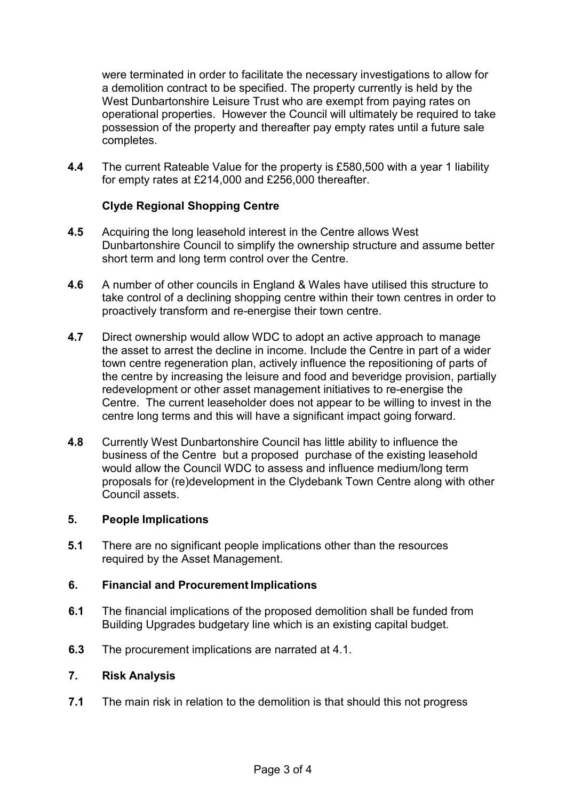were terminated in order to facilitate the necessary investigations to allow for a demolition contract to be specified. The property currently is held by the West Dunbartonshire Leisure Trust who are exempt from paying rates on operational properties. However the Council will ultimately be required to take possession of the property and thereafter pay empty rates until a future sale completes.

**4.4** The current Rateable Value for the property is £580,500 with a year 1 liability for empty rates at £214,000 and £256,000 thereafter.

## **Clyde Regional Shopping Centre**

- **4.5** Acquiring the long leasehold interest in the Centre allows West Dunbartonshire Council to simplify the ownership structure and assume better short term and long term control over the Centre.
- **4.6** A number of other councils in England & Wales have utilised this structure to take control of a declining shopping centre within their town centres in order to proactively transform and re-energise their town centre.
- **4.7** Direct ownership would allow WDC to adopt an active approach to manage the asset to arrest the decline in income. Include the Centre in part of a wider town centre regeneration plan, actively influence the repositioning of parts of the centre by increasing the leisure and food and beveridge provision, partially redevelopment or other asset management initiatives to re-energise the Centre. The current leaseholder does not appear to be willing to invest in the centre long terms and this will have a significant impact going forward.
- **4.8** Currently West Dunbartonshire Council has little ability to influence the business of the Centre but a proposed purchase of the existing leasehold would allow the Council WDC to assess and influence medium/long term proposals for (re)development in the Clydebank Town Centre along with other Council assets.

### **5. People Implications**

**5.1** There are no significant people implications other than the resources required by the Asset Management.

### **6. Financial and Procurement Implications**

- **6.1** The financial implications of the proposed demolition shall be funded from Building Upgrades budgetary line which is an existing capital budget.
- **6.3** The procurement implications are narrated at 4.1.

#### **7. Risk Analysis**

**7.1** The main risk in relation to the demolition is that should this not progress